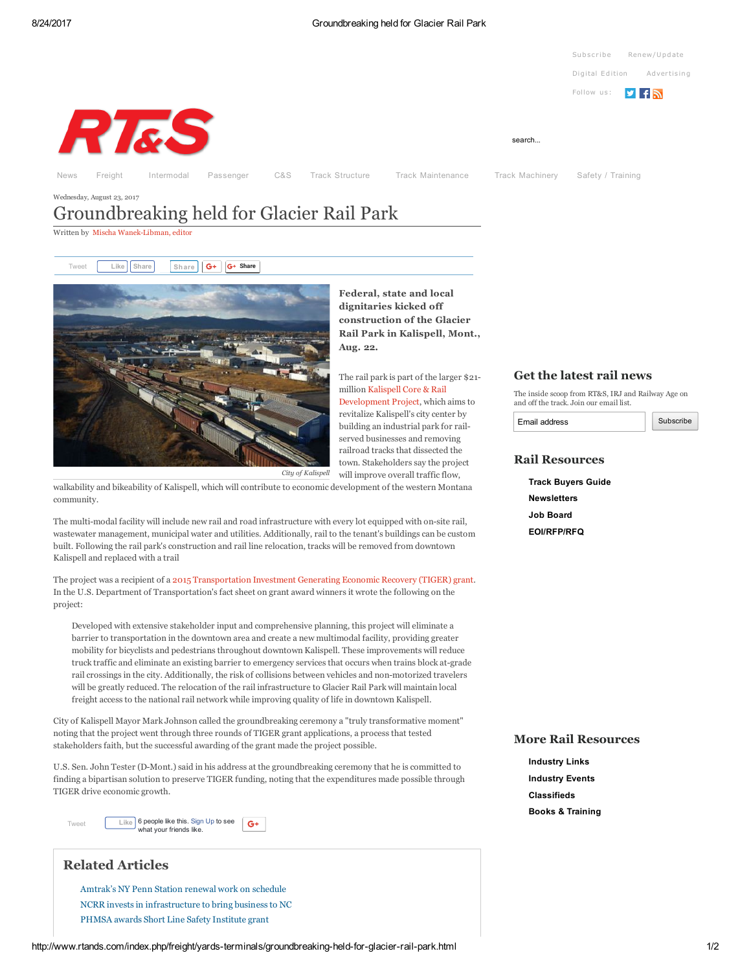#### 8/24/2017 Groundbreaking held for Glacier Rail Park



# <span id="page-0-0"></span>Wednesday, August 23, 2017 Groundbreaking held for Glacier Rail Park

Written by Mischa Wanek-Libman, editor

[Tweet](https://twitter.com/intent/tweet?original_referer=http%3A%2F%2Fwww.rtands.com%2Findex.php%2Ffreight%2Fyards-terminals%2Fgroundbreaking-held-for-glacier-rail-park.html&ref_src=twsrc%5Etfw&text=Groundbreaking%20held%20for%20Glacier%20Rail%20Park&tw_p=tweetbutton&url=http%3A%2F%2Fwww.rtands.com%2Findex.php%2Ffreight%2Fyards-terminals%2Fgroundbreaking-held-for-glacier-rail-park.html&via=RTSMag) | Like | [Share](javascript:void(0);) | Share |  $G^+$  |  $G^+$  Share



Federal, state and local dignitaries kicked off construction of the Glacier Rail Park in Kalispell, Mont., Aug. 22.

The rail park is part of the larger \$21 million Kalispell Core & Rail [Development](http://www.kalispellcoreandrail.com/) Project, which aims to revitalize Kalispell's city center by building an industrial park for railserved businesses and removing railroad tracks that dissected the town. Stakeholders say the project will improve overall traffic flow,

walkability and bikeability of Kalispell, which will contribute to economic development of the western Montana community.

The multi-modal facility will include new rail and road infrastructure with every lot equipped with on-site rail, wastewater management, municipal water and utilities. Additionally, rail to the tenant's buildings can be custom built. Following the rail park's construction and rail line relocation, tracks will be removed from downtown Kalispell and replaced with a trail

The project was a recipient of a 2015 [Transportation](http://www.rtands.com/index.php/track-structure/ballast-ties-rail/rail-projects-to-receive-more-than-155-million-in-tiger-grants-so-far.html) Investment Generating Economic Recovery (TIGER) grant. In the U.S. Department of Transportation's fact sheet on grant award winners it wrote the following on the project:

Developed with extensive stakeholder input and comprehensive planning, this project will eliminate a barrier to transportation in the downtown area and create a new multimodal facility, providing greater mobility for bicyclists and pedestrians throughout downtown Kalispell. These improvements will reduce truck traffic and eliminate an existing barrier to emergency services that occurs when trains block atgrade rail crossings in the city. Additionally, the risk of collisions between vehicles and nonmotorized travelers will be greatly reduced. The relocation of the rail infrastructure to Glacier Rail Park will maintain local freight access to the national rail network while improving quality of life in downtown Kalispell.

City of Kalispell Mayor Mark Johnson called the groundbreaking ceremony a "truly transformative moment" noting that the project went through three rounds of TIGER grant applications, a process that tested stakeholders faith, but the successful awarding of the grant made the project possible.

U.S. Sen. John Tester (D-Mont.) said in his address at the groundbreaking ceremony that he is committed to finding a bipartisan solution to preserve TIGER funding, noting that the expenditures made possible through TIGER drive economic growth.

6 people like this. [Sign](https://www.facebook.com/campaign/landing.php?campaign_id=137675572948107&partner_id=rtands.com&placement=like_plugin&extra_1=http%3A%2F%2Fwww.rtands.com%2Findex.php%2Ffreight%2Fyards-terminals%2Fgroundbreaking-held-for-glacier-rail-park.html&extra_2=US) Up to see  $G+$ [Tweet](https://twitter.com/intent/tweet?original_referer=http%3A%2F%2Fwww.rtands.com%2Findex.php%2Ffreight%2Fyards-terminals%2Fgroundbreaking-held-for-glacier-rail-park.html&ref_src=twsrc%5Etfw&text=Groundbreaking%20held%20for%20Glacier%20Rail%20Park&tw_p=tweetbutton&url=http%3A%2F%2Fwww.rtands.com%2Findex.php%2Ffreight%2Fyards-terminals%2Fgroundbreaking-held-for-glacier-rail-park.html&via=RTSMag) what your friends like.

# Related Articles

[Amtrak's](http://www.rtands.com/index.php/passenger/intercity/amtraks-ny-penn-station-renewal-work-on-schedule.html?channel=) NY Penn Station renewal work on schedule NCRR invests in [infrastructure](http://www.rtands.com/index.php/freight/shortline-regional/ncrr-invests-in-infrastructure-to-bring-business-to-nc.html?channel=) to bring business to NC PHMSA awards Short Line Safety [Institute](http://www.rtands.com/index.php/freight/shortline-regional/phmsa-awards-short-line-safety-institute-grant.html?channel=) grant

### Get the latest rail news

The inside scoop from RT&S, IRJ and Railway Age on and off the track. Join our email list.

Email address

Subscribe

## Rail Resources

Track [Buyers](http://www.rtandsdirectory.com/) Guide [Newsletters](http://www.rtands.com/index.php/static/Subscribe-to-RTS-Newsletters.html) Job [Board](http://www.railwayage.com/index.php/jobseeker/listnewestjobs.html) [EOI/RFP/RFQ](http://www.rtands.com/index.php/eoi-rfp-rfq.html)

## More Rail Resources

[Industry](http://www.rtands.com/index.php/static/Industry-Links.html) Links [Industry](http://www.rtands.com/index.php/cat.listevents/2015/11/16/) Events [Classifieds](http://www.railwayage.com/index.php/Classifieds/) Books & [Training](http://www.rtands.com/index.php/static/Training-Books.html)